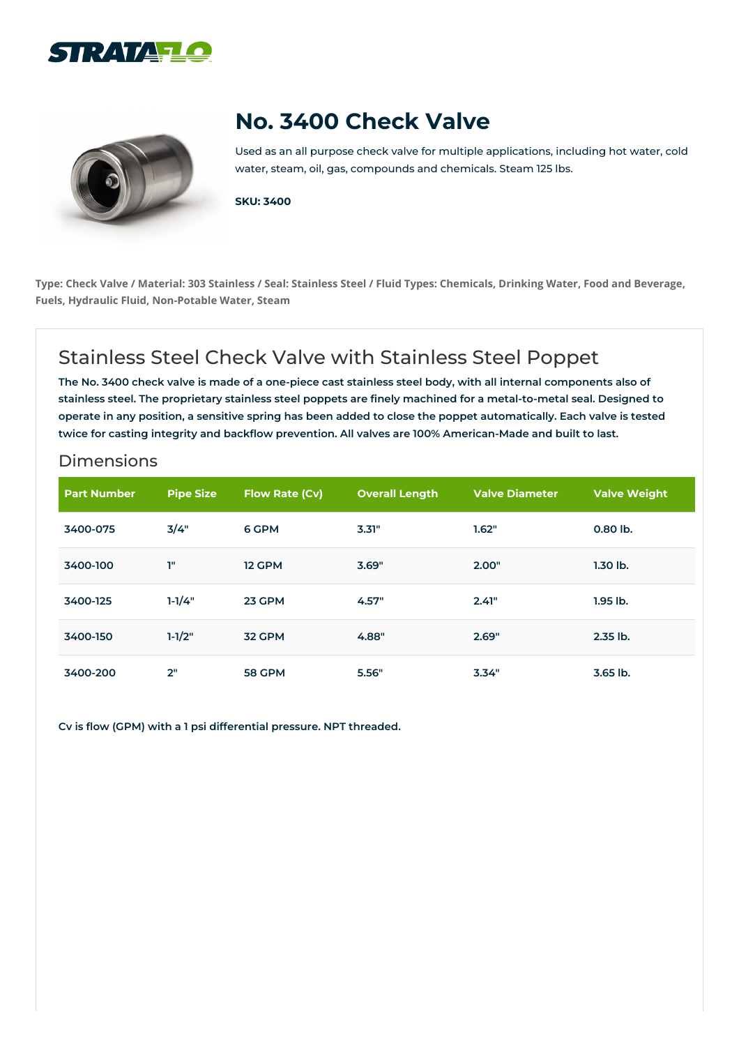



## **No. 3400 Check Valve**

Used as an all purpose check valve for multiple applications, including hot water, cold water, steam, oil, gas, compounds and chemicals. Steam 125 lbs.

**SKU: 3400**

Type: Check Valve / Material: 303 Stainless / Seal: Stainless Steel / Fluid Types: Chemicals, Drinking Water, Food and Beverage, **Fuels, Hydraulic Fluid, Non-Potable Water, Steam**

## Stainless Steel Check Valve with Stainless Steel Poppet

The No. 3400 check valve is made of a one-piece cast stainless steel body, with all internal components also of stainless steel. The proprietary stainless steel poppets are finely machined for a metal-to-metal seal. Designed to operate in any position, a sensitive spring has been added to close the poppet automatically. Each valve is tested **twice for casting integrity and backflow prevention. All valves are 100% American-Made and built to last.**

## Dimensions

| <b>Part Number</b> | <b>Pipe Size</b> | <b>Flow Rate (Cv)</b> | <b>Overall Length</b> | <b>Valve Diameter</b> | <b>Valve Weight</b> |
|--------------------|------------------|-----------------------|-----------------------|-----------------------|---------------------|
| 3400-075           | 3/4"             | 6 GPM                 | 3.31"                 | 1.62"                 | $0.80$ lb.          |
| 3400-100           | T"               | 12 GPM                | 3.69"                 | 2.00"                 | $1.30$ lb.          |
| 3400-125           | $1 - 1/4"$       | 23 GPM                | 4.57"                 | 2.41"                 | $1.95$ lb.          |
| 3400-150           | $1 - 1/2"$       | <b>32 GPM</b>         | 4.88"                 | 2.69"                 | 2.35 lb.            |
| 3400-200           | 2"               | <b>58 GPM</b>         | 5.56"                 | 3.34"                 | $3.65$ lb.          |

**Cv is flow (GPM) with a 1 psi differential pressure. NPT threaded.**